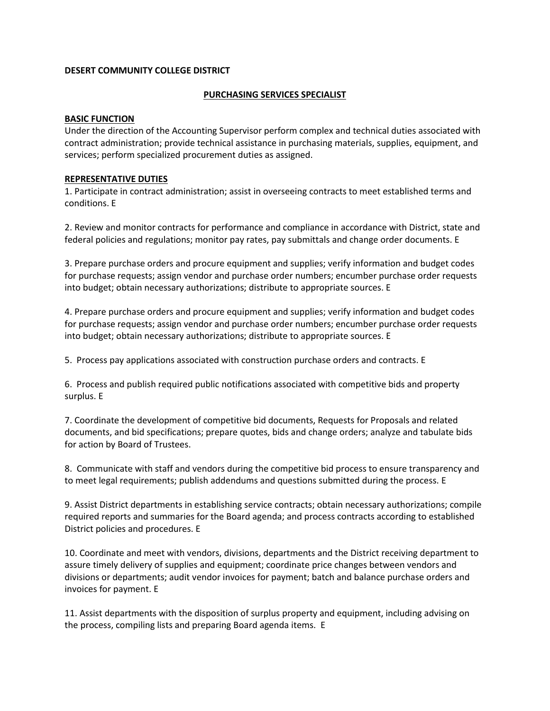# **DESERT COMMUNITY COLLEGE DISTRICT**

# **PURCHASING SERVICES SPECIALIST**

## **BASIC FUNCTION**

Under the direction of the Accounting Supervisor perform complex and technical duties associated with contract administration; provide technical assistance in purchasing materials, supplies, equipment, and services; perform specialized procurement duties as assigned.

## **REPRESENTATIVE DUTIES**

1. Participate in contract administration; assist in overseeing contracts to meet established terms and conditions. E

2. Review and monitor contracts for performance and compliance in accordance with District, state and federal policies and regulations; monitor pay rates, pay submittals and change order documents. E

3. Prepare purchase orders and procure equipment and supplies; verify information and budget codes for purchase requests; assign vendor and purchase order numbers; encumber purchase order requests into budget; obtain necessary authorizations; distribute to appropriate sources. E

4. Prepare purchase orders and procure equipment and supplies; verify information and budget codes for purchase requests; assign vendor and purchase order numbers; encumber purchase order requests into budget; obtain necessary authorizations; distribute to appropriate sources. E

5. Process pay applications associated with construction purchase orders and contracts. E

6. Process and publish required public notifications associated with competitive bids and property surplus. E

7. Coordinate the development of competitive bid documents, Requests for Proposals and related documents, and bid specifications; prepare quotes, bids and change orders; analyze and tabulate bids for action by Board of Trustees.

8. Communicate with staff and vendors during the competitive bid process to ensure transparency and to meet legal requirements; publish addendums and questions submitted during the process. E

9. Assist District departments in establishing service contracts; obtain necessary authorizations; compile required reports and summaries for the Board agenda; and process contracts according to established District policies and procedures. E

10. Coordinate and meet with vendors, divisions, departments and the District receiving department to assure timely delivery of supplies and equipment; coordinate price changes between vendors and divisions or departments; audit vendor invoices for payment; batch and balance purchase orders and invoices for payment. E

11. Assist departments with the disposition of surplus property and equipment, including advising on the process, compiling lists and preparing Board agenda items. E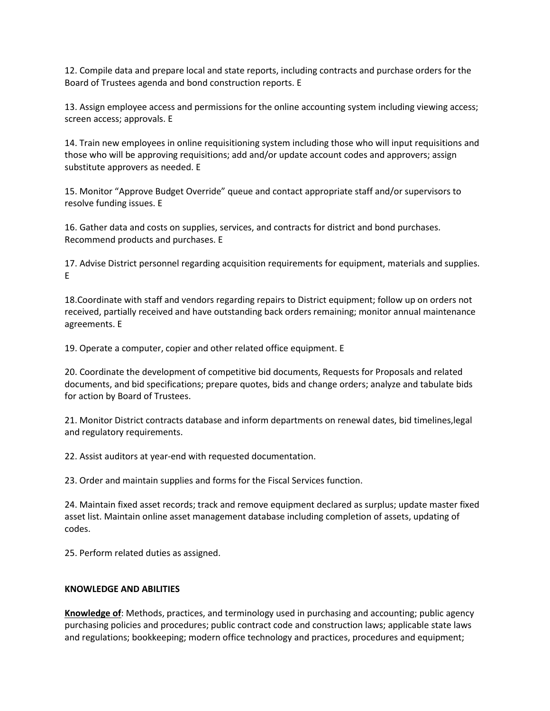12. Compile data and prepare local and state reports, including contracts and purchase orders for the Board of Trustees agenda and bond construction reports. E

13. Assign employee access and permissions for the online accounting system including viewing access; screen access; approvals. E

14. Train new employees in online requisitioning system including those who will input requisitions and those who will be approving requisitions; add and/or update account codes and approvers; assign substitute approvers as needed. E

15. Monitor "Approve Budget Override" queue and contact appropriate staff and/or supervisors to resolve funding issues. E

16. Gather data and costs on supplies, services, and contracts for district and bond purchases. Recommend products and purchases. E

17. Advise District personnel regarding acquisition requirements for equipment, materials and supplies. E

18.Coordinate with staff and vendors regarding repairs to District equipment; follow up on orders not received, partially received and have outstanding back orders remaining; monitor annual maintenance agreements. E

19. Operate a computer, copier and other related office equipment. E

20. Coordinate the development of competitive bid documents, Requests for Proposals and related documents, and bid specifications; prepare quotes, bids and change orders; analyze and tabulate bids for action by Board of Trustees.

21. Monitor District contracts database and inform departments on renewal dates, bid timelines,legal and regulatory requirements.

22. Assist auditors at year-end with requested documentation.

23. Order and maintain supplies and forms for the Fiscal Services function.

24. Maintain fixed asset records; track and remove equipment declared as surplus; update master fixed asset list. Maintain online asset management database including completion of assets, updating of codes.

25. Perform related duties as assigned.

# **KNOWLEDGE AND ABILITIES**

**Knowledge of**: Methods, practices, and terminology used in purchasing and accounting; public agency purchasing policies and procedures; public contract code and construction laws; applicable state laws and regulations; bookkeeping; modern office technology and practices, procedures and equipment;